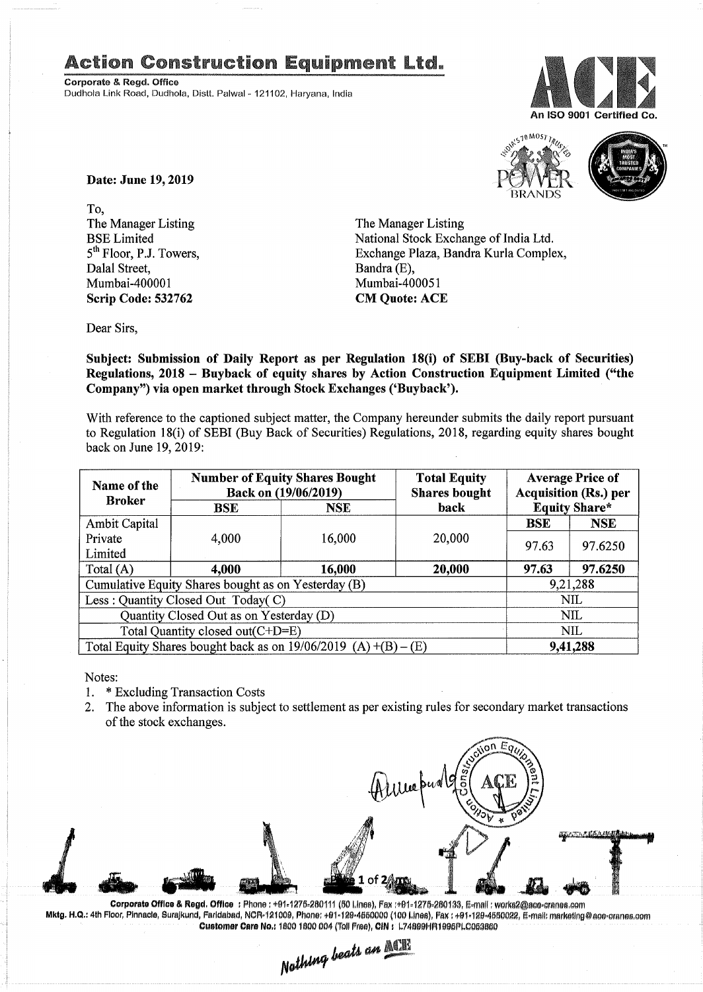## **Action Construction Equipment Ltd.**

Corporate & Regd. Office Dudhola Link Road, Dudhola, Distt. Palwa!- 121102, Haryana, India





Date: June 19,2019

To, The Manager Listing BSE Limited 5<sup>th</sup> Floor, P.J. Towers, Dalal Street, Mumbai-400001 Scrip Code: 532762

The Manager Listing National Stock Exchange of India Ltd. Exchange Plaza, Bandra Kurla Complex, Bandra (E), Mumbai-400051 CM Quote: ACE

Dear Sirs,

Subject: Submission of Daily Report as per Regulation 18(i) of SEBI (Buy-back of Securities) Regulations, 2018 - Buyback of equity shares by Action Construction Equipment Limited ("the Company") via open market through Stock Exchanges ('Buyback').

With reference to the captioned subject matter, the Company hereunder submits the daily report pursuant to Regulation 18(i) of SEBI (Buy Back of Securities) Regulations, 2018, regarding equity shares bought back on June 19,2019:

| Name of the<br><b>Broker</b>                                      | <b>Number of Equity Shares Bought</b><br>Back on (19/06/2019) |            | <b>Total Equity</b><br><b>Shares bought</b> | <b>Average Price of</b><br><b>Acquisition (Rs.) per</b> |                      |  |
|-------------------------------------------------------------------|---------------------------------------------------------------|------------|---------------------------------------------|---------------------------------------------------------|----------------------|--|
|                                                                   | BSE                                                           | <b>NSE</b> | back                                        |                                                         | <b>Equity Share*</b> |  |
| Ambit Capital                                                     |                                                               |            |                                             | <b>BSE</b>                                              | <b>NSE</b>           |  |
| Private                                                           | 4,000                                                         | 16,000     | 20,000                                      | 97.63                                                   | 97.6250              |  |
| Limited                                                           |                                                               |            |                                             |                                                         |                      |  |
| Total (A)                                                         | 4,000                                                         | 16,000     | 20,000                                      | 97.63                                                   | 97.6250              |  |
| Cumulative Equity Shares bought as on Yesterday (B)               |                                                               |            |                                             |                                                         | 9,21,288             |  |
| Less: Quantity Closed Out Today(C)                                |                                                               |            |                                             | NIL                                                     |                      |  |
| Quantity Closed Out as on Yesterday (D)                           |                                                               |            |                                             | <b>NIL</b>                                              |                      |  |
| Total Quantity closed out(C+D=E)                                  |                                                               |            |                                             |                                                         | NIL                  |  |
| Total Equity Shares bought back as on $19/06/2019$ (A) +(B) – (E) |                                                               |            |                                             | 9,41,288                                                |                      |  |

Notes:

- 1. \* Excluding Transaction Costs<br>2. The above information is subje
- The above information is subject to settlement as per existing rules for secondary market transactions of the stock exchanges.



Co**rporate Office & Regd. Office:**Phone:+91-1275-280111 (50 Lines), Fax :+91-1275-280133, E-mail : werks2@ace-cranes.com Mktg. H.Q.: 4th Floor, Pinnacle, Surajkund, Faridabad, NCR-121009, Phone: +91·129-4550000 (100 Lines), Fax : +91-129-4550022, E-mail: marketing@ace-cranes.cor Customer Care No.: 1800 1800 004 (Toll Free), CIN: L74899HR1995PLC053860

 $_{be}$ an $~$ *N~*